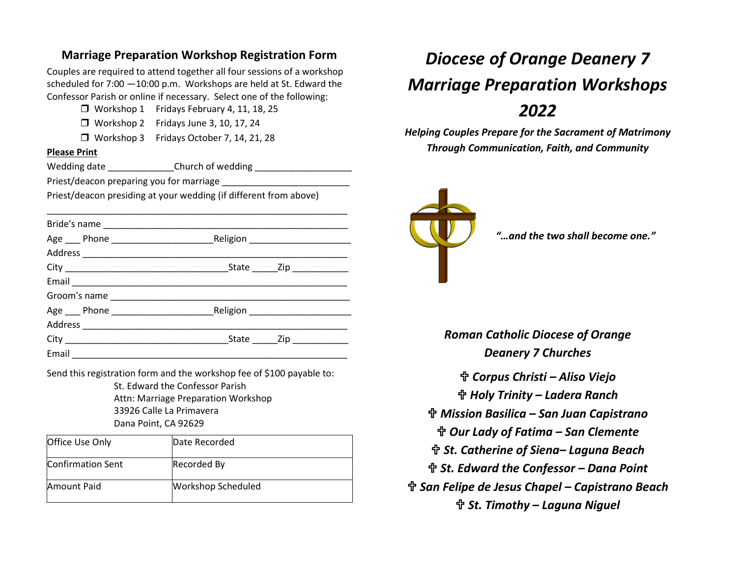## **Marriage Preparation Workshop Registration Form**

Couples are required to attend together all four sessions of a workshop scheduled for 7:00 —10:00 p.m. Workshops are held at St. Edward the Confessor Parish or online if necessary. Select one of the following:

 $\Box$  Workshop 1 Fridays February 4, 11, 18, 25

Workshop 2 Fridays June 3, 10, 17, 24

Workshop 3 Fridays October 7, 14, 21, 28

#### **Please Print**

Wedding date The Church of wedding Wedding and Wedding and Wedding and Wedding Supplies

Priest/deacon preparing you for marriage

Priest/deacon presiding at your wedding (if different from above)

| Email 2008 - 2008 - 2010 - 2010 - 2010 - 2010 - 2011 - 2012 - 2012 - 2012 - 2012 - 2012 - 2013 - 201 |  |
|------------------------------------------------------------------------------------------------------|--|

Send this registration form and the workshop fee of \$100 payable to: St. Edward the Confessor Parish Attn: Marriage Preparation Workshop 33926 Calle La Primavera Dana Point, CA 92629

| <b>Office Use Only</b> | Date Recorded             |
|------------------------|---------------------------|
| Confirmation Sent      | Recorded By               |
| Amount Paid            | <b>Workshop Scheduled</b> |

# *Diocese of Orange Deanery 7 Marriage Preparation Workshops 2022*

*Helping Couples Prepare for the Sacrament of Matrimony Through Communication, Faith, and Community*



*"…and the two shall become one."*

*Roman Catholic Diocese of Orange Deanery 7 Churches Corpus Christi – Aliso Viejo Holy Trinity – Ladera Ranch Mission Basilica – San Juan Capistrano Our Lady of Fatima – San Clemente St. Catherine of Siena– Laguna Beach St. Edward the Confessor – Dana Point San Felipe de Jesus Chapel – Capistrano Beach St. Timothy – Laguna Niguel*